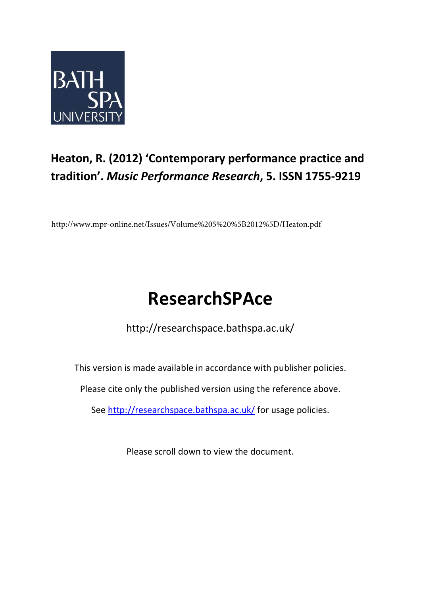

## **Heaton, R. (2012) 'Contemporary performance practice and tradition'.** *Music Performance Research***, 5. ISSN 1755-9219**

http://www.mpr-online.net/Issues/Volume%205%20%5B2012%5D/Heaton.pdf

# **ResearchSPAce**

http://researchspace.bathspa.ac.uk/

This version is made available in accordance with publisher policies.

Please cite only the published version using the reference above.

See<http://researchspace.bathspa.ac.uk/> for usage policies.

Please scroll down to view the document.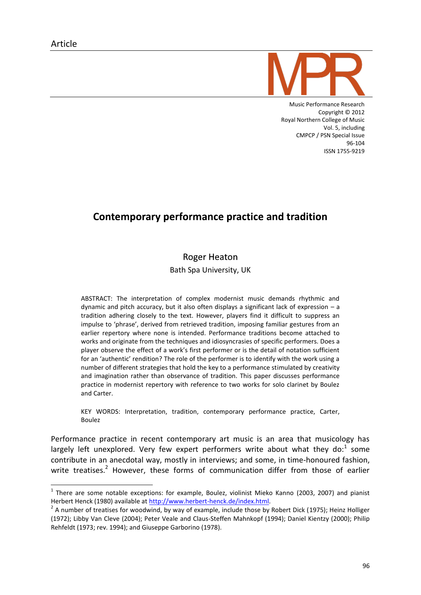-



Music Performance Research Copyright © 2012 Royal Northern College of Music Vol. 5, including CMPCP / PSN Special Issue 96-104 ISSN 1755-9219

## Contemporary performance practice and tradition

### **Roger Heaton**

Bath Spa University, UK

ABSTRACT: The interpretation of complex modernist music demands rhythmic and dynamic and pitch accuracy, but it also often displays a significant lack of expression – a tradition adhering closely to the text. However, players find it difficult to suppress an impulse to 'phrase', derived from retrieved tradition, imposing familiar gestures from an earlier repertory where none is intended. Performance traditions become attached to works and originate from the techniques and idiosyncrasies of specific performers. Does a player observe the effect of a work's first performer or is the detail of notation sufficient for an 'authentic' rendition? The role of the performer is to identify with the work using a number of different strategies that hold the key to a performance stimulated by creativity and imagination rather than observance of tradition. This paper discusses performance practice in modernist repertory with reference to two works for solo clarinet by Boulez and Carter.

KEY WORDS: Interpretation, tradition, contemporary performance practice, Carter, Boulez

Performance practice in recent contemporary art music is an area that musicology has largely left unexplored. Very few expert performers write about what they do:<sup>1</sup> some contribute in an anecdotal way, mostly in interviews; and some, in time-honoured fashion, write treatises.<sup>2</sup> However, these forms of communication differ from those of earlier

 $<sup>1</sup>$  There are some notable exceptions: for example, Boulez, violinist Mieko Kanno (2003, 2007) and pianist</sup> Herbert Henck (1980) available at [http://www.herbert-henck.de/index.html.](http://www.herbert-henck.de/index.html)

<sup>&</sup>lt;sup>2</sup> A number of treatises for woodwind, by way of example, include those by Robert Dick (1975); Heinz Holliger (1972); Libby Van Cleve (2004); Peter Veale and Claus-Steffen Mahnkopf (1994); Daniel Kientzy (2000); Philip Rehfeldt (1973; rev. 1994); and Giuseppe Garborino (1978).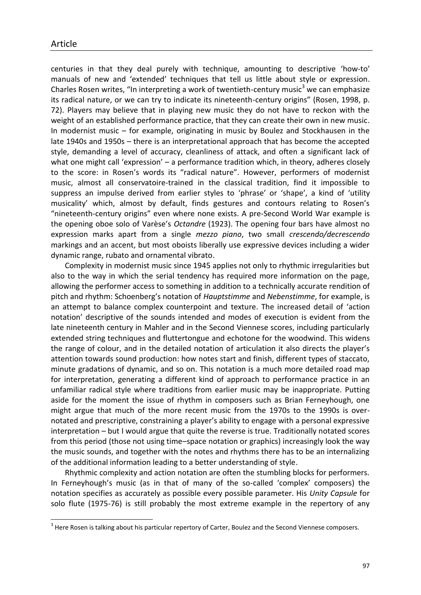1

centuries in that they deal purely with technique, amounting to descriptive 'how-to' manuals of new and 'extended' techniques that tell us little about style or expression. Charles Rosen writes, "In interpreting a work of twentieth-century music<sup>3</sup> we can emphasize its radical nature, or we can try to indicate its nineteenth-century origins" (Rosen, 1998, p. 72). Players may believe that in playing new music they do not have to reckon with the weight of an established performance practice, that they can create their own in new music. In modernist music – for example, originating in music by Boulez and Stockhausen in the late 1940s and 1950s – there is an interpretational approach that has become the accepted style, demanding a level of accuracy, cleanliness of attack, and often a significant lack of what one might call 'expression' – a performance tradition which, in theory, adheres closely to the score: in Rosen's words its "radical nature". However, performers of modernist music, almost all conservatoire-trained in the classical tradition, find it impossible to suppress an impulse derived from earlier styles to 'phrase' or 'shape', a kind of 'utility musicality' which, almost by default, finds gestures and contours relating to Rosen's "nineteenth-century origins" even where none exists. A pre-Second World War example is the opening oboe solo of Varèse's *Octandre* (1923). The opening four bars have almost no expression marks apart from a single *mezzo piano*, two small *crescendo/decrescendo*  markings and an accent, but most oboists liberally use expressive devices including a wider dynamic range, rubato and ornamental vibrato.

Complexity in modernist music since 1945 applies not only to rhythmic irregularities but also to the way in which the serial tendency has required more information on the page, allowing the performer access to something in addition to a technically accurate rendition of pitch and rhythm: Schoenberg's notation of *Hauptstimme* and *Nebenstimme*, for example, is an attempt to balance complex counterpoint and texture. The increased detail of 'action notation' descriptive of the sounds intended and modes of execution is evident from the late nineteenth century in Mahler and in the Second Viennese scores, including particularly extended string techniques and fluttertongue and echotone for the woodwind. This widens the range of colour, and in the detailed notation of articulation it also directs the player's attention towards sound production: how notes start and finish, different types of staccato, minute gradations of dynamic, and so on. This notation is a much more detailed road map for interpretation, generating a different kind of approach to performance practice in an unfamiliar radical style where traditions from earlier music may be inappropriate. Putting aside for the moment the issue of rhythm in composers such as Brian Ferneyhough, one might argue that much of the more recent music from the 1970s to the 1990s is overnotated and prescriptive, constraining a player's ability to engage with a personal expressive interpretation – but I would argue that quite the reverse is true. Traditionally notated scores from this period (those not using time–space notation or graphics) increasingly look the way the music sounds, and together with the notes and rhythms there has to be an internalizing of the additional information leading to a better understanding of style.

Rhythmic complexity and action notation are often the stumbling blocks for performers. In Ferneyhough's music (as in that of many of the so-called 'complex' composers) the notation specifies as accurately as possible every possible parameter. His *Unity Capsule* for solo flute (1975-76) is still probably the most extreme example in the repertory of any

 $3$  Here Rosen is talking about his particular repertory of Carter, Boulez and the Second Viennese composers.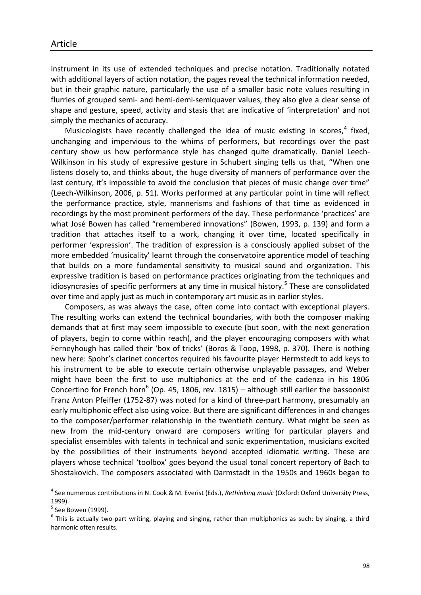instrument in its use of extended techniques and precise notation. Traditionally notated with additional layers of action notation, the pages reveal the technical information needed, but in their graphic nature, particularly the use of a smaller basic note values resulting in flurries of grouped semi- and hemi-demi-semiquaver values, they also give a clear sense of shape and gesture, speed, activity and stasis that are indicative of 'interpretation' and not simply the mechanics of accuracy.

Musicologists have recently challenged the idea of music existing in scores, $<sup>4</sup>$  fixed,</sup> unchanging and impervious to the whims of performers, but recordings over the past century show us how performance style has changed quite dramatically. Daniel Leech-Wilkinson in his study of expressive gesture in Schubert singing tells us that, "When one listens closely to, and thinks about, the huge diversity of manners of performance over the last century, it's impossible to avoid the conclusion that pieces of music change over time" (Leech-Wilkinson, 2006, p. 51). Works performed at any particular point in time will reflect the performance practice, style, mannerisms and fashions of that time as evidenced in recordings by the most prominent performers of the day. These performance 'practices' are what José Bowen has called "remembered innovations" (Bowen, 1993, p. 139) and form a tradition that attaches itself to a work, changing it over time, located specifically in performer 'expression'. The tradition of expression is a consciously applied subset of the more embedded 'musicality' learnt through the conservatoire apprentice model of teaching that builds on a more fundamental sensitivity to musical sound and organization. This expressive tradition is based on performance practices originating from the techniques and idiosyncrasies of specific performers at any time in musical history.<sup>5</sup> These are consolidated over time and apply just as much in contemporary art music as in earlier styles.

Composers, as was always the case, often come into contact with exceptional players. The resulting works can extend the technical boundaries, with both the composer making demands that at first may seem impossible to execute (but soon, with the next generation of players, begin to come within reach), and the player encouraging composers with what Ferneyhough has called their 'box of tricks' (Boros & Toop, 1998, p. 370). There is nothing new here: Spohr's clarinet concertos required his favourite player Hermstedt to add keys to his instrument to be able to execute certain otherwise unplayable passages, and Weber might have been the first to use multiphonics at the end of the cadenza in his 1806 Concertino for French horn<sup>6</sup> (Op. 45, 1806, rev. 1815) – although still earlier the bassoonist Franz Anton Pfeiffer (1752-87) was noted for a kind of three-part harmony, presumably an early multiphonic effect also using voice. But there are significant differences in and changes to the composer/performer relationship in the twentieth century. What might be seen as new from the mid-century onward are composers writing for particular players and specialist ensembles with talents in technical and sonic experimentation, musicians excited by the possibilities of their instruments beyond accepted idiomatic writing. These are players whose technical 'toolbox' goes beyond the usual tonal concert repertory of Bach to Shostakovich. The composers associated with Darmstadt in the 1950s and 1960s began to

-

<sup>4</sup> See numerous contributions in N. Cook & M. Everist (Eds.), *Rethinking music* (Oxford: Oxford University Press, 1999).

<sup>&</sup>lt;sup>5</sup> See Bowen (1999).

 $^6$  This is actually two-part writing, playing and singing, rather than multiphonics as such: by singing, a third harmonic often results.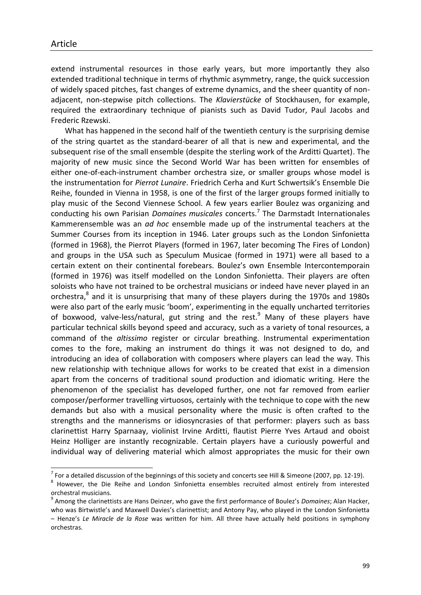1

extend instrumental resources in those early years, but more importantly they also extended traditional technique in terms of rhythmic asymmetry, range, the quick succession of widely spaced pitches, fast changes of extreme dynamics, and the sheer quantity of nonadjacent, non-stepwise pitch collections. The *Klavierstücke* of Stockhausen, for example, required the extraordinary technique of pianists such as David Tudor, Paul Jacobs and Frederic Rzewski.

What has happened in the second half of the twentieth century is the surprising demise of the string quartet as the standard-bearer of all that is new and experimental, and the subsequent rise of the small ensemble (despite the sterling work of the Arditti Quartet). The majority of new music since the Second World War has been written for ensembles of either one-of-each-instrument chamber orchestra size, or smaller groups whose model is the instrumentation for *Pierrot Lunaire*. Friedrich Cerha and Kurt Schwertsik's Ensemble Die Reihe, founded in Vienna in 1958, is one of the first of the larger groups formed initially to play music of the Second Viennese School. A few years earlier Boulez was organizing and conducting his own Parisian *Domaines musicales* concerts.<sup>7</sup> The Darmstadt Internationales Kammerensemble was an *ad hoc* ensemble made up of the instrumental teachers at the Summer Courses from its inception in 1946. Later groups such as the London Sinfonietta (formed in 1968), the Pierrot Players (formed in 1967, later becoming The Fires of London) and groups in the USA such as Speculum Musicae (formed in 1971) were all based to a certain extent on their continental forebears. Boulez's own Ensemble Intercontemporain (formed in 1976) was itself modelled on the London Sinfonietta. Their players are often soloists who have not trained to be orchestral musicians or indeed have never played in an orchestra,<sup>8</sup> and it is unsurprising that many of these players during the 1970s and 1980s were also part of the early music 'boom', experimenting in the equally uncharted territories of boxwood, valve-less/natural, gut string and the rest. $9$  Many of these players have particular technical skills beyond speed and accuracy, such as a variety of tonal resources, a command of the *altissimo* register or circular breathing. Instrumental experimentation comes to the fore, making an instrument do things it was not designed to do, and introducing an idea of collaboration with composers where players can lead the way. This new relationship with technique allows for works to be created that exist in a dimension apart from the concerns of traditional sound production and idiomatic writing. Here the phenomenon of the specialist has developed further, one not far removed from earlier composer/performer travelling virtuosos, certainly with the technique to cope with the new demands but also with a musical personality where the music is often crafted to the strengths and the mannerisms or idiosyncrasies of that performer: players such as bass clarinettist Harry Sparnaay, violinist Irvine Arditti, flautist Pierre Yves Artaud and oboist Heinz Holliger are instantly recognizable. Certain players have a curiously powerful and individual way of delivering material which almost appropriates the music for their own

 $^7$  For a detailed discussion of the beginnings of this society and concerts see Hill & Simeone (2007, pp. 12-19).

<sup>&</sup>lt;sup>8</sup> However, the Die Reihe and London Sinfonietta ensembles recruited almost entirely from interested orchestral musicians.

<sup>9</sup> Among the clarinettists are Hans Deinzer, who gave the first performance of Boulez's *Domaines*; Alan Hacker, who was Birtwistle's and Maxwell Davies's clarinettist; and Antony Pay, who played in the London Sinfonietta – Henze's *Le Miracle de la Rose* was written for him. All three have actually held positions in symphony orchestras.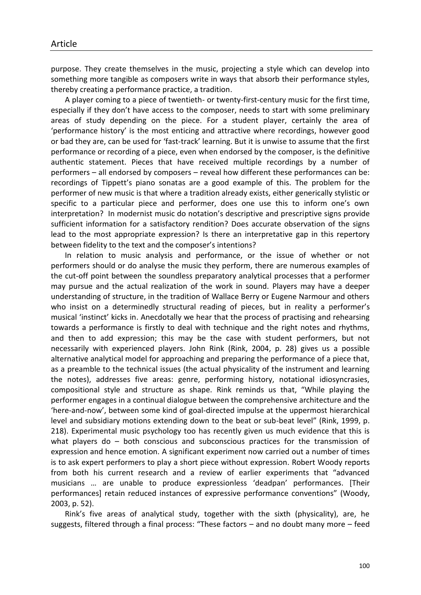purpose. They create themselves in the music, projecting a style which can develop into something more tangible as composers write in ways that absorb their performance styles, thereby creating a performance practice, a tradition.

A player coming to a piece of twentieth- or twenty-first-century music for the first time, especially if they don't have access to the composer, needs to start with some preliminary areas of study depending on the piece. For a student player, certainly the area of 'performance history' is the most enticing and attractive where recordings, however good or bad they are, can be used for 'fast-track' learning. But it is unwise to assume that the first performance or recording of a piece, even when endorsed by the composer, is the definitive authentic statement. Pieces that have received multiple recordings by a number of performers – all endorsed by composers – reveal how different these performances can be: recordings of Tippett's piano sonatas are a good example of this. The problem for the performer of new music is that where a tradition already exists, either generically stylistic or specific to a particular piece and performer, does one use this to inform one's own interpretation? In modernist music do notation's descriptive and prescriptive signs provide sufficient information for a satisfactory rendition? Does accurate observation of the signs lead to the most appropriate expression? Is there an interpretative gap in this repertory between fidelity to the text and the composer's intentions?

In relation to music analysis and performance, or the issue of whether or not performers should or do analyse the music they perform, there are numerous examples of the cut-off point between the soundless preparatory analytical processes that a performer may pursue and the actual realization of the work in sound. Players may have a deeper understanding of structure, in the tradition of Wallace Berry or Eugene Narmour and others who insist on a determinedly structural reading of pieces, but in reality a performer's musical 'instinct' kicks in. Anecdotally we hear that the process of practising and rehearsing towards a performance is firstly to deal with technique and the right notes and rhythms, and then to add expression; this may be the case with student performers, but not necessarily with experienced players. John Rink (Rink, 2004, p. 28) gives us a possible alternative analytical model for approaching and preparing the performance of a piece that, as a preamble to the technical issues (the actual physicality of the instrument and learning the notes), addresses five areas: genre, performing history, notational idiosyncrasies, compositional style and structure as shape. Rink reminds us that, "While playing the performer engages in a continual dialogue between the comprehensive architecture and the 'here-and-now', between some kind of goal-directed impulse at the uppermost hierarchical level and subsidiary motions extending down to the beat or sub-beat level" (Rink, 1999, p. 218). Experimental music psychology too has recently given us much evidence that this is what players do – both conscious and subconscious practices for the transmission of expression and hence emotion. A significant experiment now carried out a number of times is to ask expert performers to play a short piece without expression. Robert Woody reports from both his current research and a review of earlier experiments that "advanced musicians … are unable to produce expressionless 'deadpan' performances. [Their performances] retain reduced instances of expressive performance conventions" (Woody, 2003, p. 52).

Rink's five areas of analytical study, together with the sixth (physicality), are, he suggests, filtered through a final process: "These factors – and no doubt many more – feed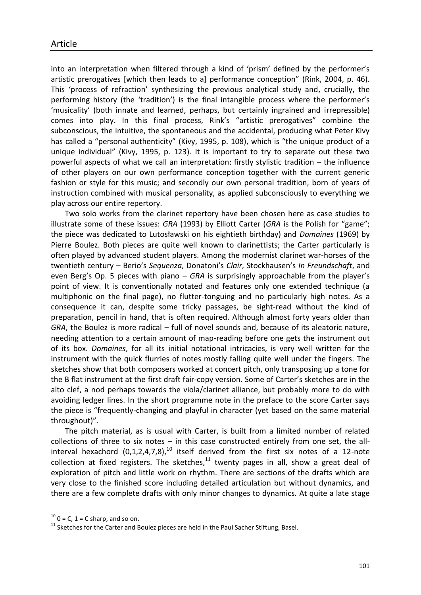into an interpretation when filtered through a kind of 'prism' defined by the performer's artistic prerogatives [which then leads to a] performance conception" (Rink, 2004, p. 46). This 'process of refraction' synthesizing the previous analytical study and, crucially, the performing history (the 'tradition') is the final intangible process where the performer's 'musicality' (both innate and learned, perhaps, but certainly ingrained and irrepressible) comes into play. In this final process, Rink's "artistic prerogatives" combine the subconscious, the intuitive, the spontaneous and the accidental, producing what Peter Kivy has called a "personal authenticity" (Kivy, 1995, p. 108), which is "the unique product of a unique individual" (Kivy, 1995, p. 123). It is important to try to separate out these two powerful aspects of what we call an interpretation: firstly stylistic tradition – the influence of other players on our own performance conception together with the current generic fashion or style for this music; and secondly our own personal tradition, born of years of instruction combined with musical personality, as applied subconsciously to everything we play across our entire repertory.

Two solo works from the clarinet repertory have been chosen here as case studies to illustrate some of these issues: *GRA* (1993) by Elliott Carter (*GRA* is the Polish for "game"; the piece was dedicated to Lutosławski on his eightieth birthday) and *Domaines* (1969) by Pierre Boulez. Both pieces are quite well known to clarinettists; the Carter particularly is often played by advanced student players. Among the modernist clarinet war-horses of the twentieth century – Berio's *Sequenza*, Donatoni's *Clair*, Stockhausen's *In Freundschaft*, and even Berg's Op. 5 pieces with piano – *GRA* is surprisingly approachable from the player's point of view. It is conventionally notated and features only one extended technique (a multiphonic on the final page), no flutter-tonguing and no particularly high notes. As a consequence it can, despite some tricky passages, be sight-read without the kind of preparation, pencil in hand, that is often required. Although almost forty years older than *GRA*, the Boulez is more radical – full of novel sounds and, because of its aleatoric nature, needing attention to a certain amount of map-reading before one gets the instrument out of its box. *Domaines*, for all its initial notational intricacies, is very well written for the instrument with the quick flurries of notes mostly falling quite well under the fingers. The sketches show that both composers worked at concert pitch, only transposing up a tone for the B flat instrument at the first draft fair-copy version. Some of Carter's sketches are in the alto clef, a nod perhaps towards the viola/clarinet alliance, but probably more to do with avoiding ledger lines. In the short programme note in the preface to the score Carter says the piece is "frequently-changing and playful in character (yet based on the same material throughout)".

The pitch material, as is usual with Carter, is built from a limited number of related collections of three to six notes – in this case constructed entirely from one set, the allinterval hexachord  $(0,1,2,4,7,8)$ ,<sup>10</sup> itself derived from the first six notes of a 12-note collection at fixed registers. The sketches, $^{11}$  twenty pages in all, show a great deal of exploration of pitch and little work on rhythm. There are sections of the drafts which are very close to the finished score including detailed articulation but without dynamics, and there are a few complete drafts with only minor changes to dynamics. At quite a late stage

-

 $10$  0 = C, 1 = C sharp, and so on.

<sup>&</sup>lt;sup>11</sup> Sketches for the Carter and Boulez pieces are held in the Paul Sacher Stiftung, Basel.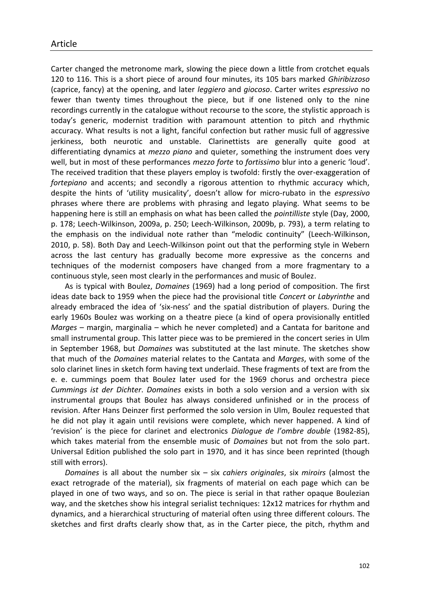Carter changed the metronome mark, slowing the piece down a little from crotchet equals 120 to 116. This is a short piece of around four minutes, its 105 bars marked *Ghiribizzoso* (caprice, fancy) at the opening, and later *leggiero* and *giocoso*. Carter writes *espressivo* no fewer than twenty times throughout the piece, but if one listened only to the nine recordings currently in the catalogue without recourse to the score, the stylistic approach is today's generic, modernist tradition with paramount attention to pitch and rhythmic accuracy. What results is not a light, fanciful confection but rather music full of aggressive jerkiness, both neurotic and unstable. Clarinettists are generally quite good at differentiating dynamics at *mezzo piano* and quieter, something the instrument does very well, but in most of these performances *mezzo forte* to *fortissimo* blur into a generic 'loud'. The received tradition that these players employ is twofold: firstly the over-exaggeration of *fortepiano* and accents; and secondly a rigorous attention to rhythmic accuracy which, despite the hints of 'utility musicality', doesn't allow for micro-rubato in the *espressivo*  phrases where there are problems with phrasing and legato playing. What seems to be happening here is still an emphasis on what has been called the *pointilliste* style (Day, 2000, p. 178; Leech-Wilkinson, 2009a, p. 250; Leech-Wilkinson, 2009b, p. 793), a term relating to the emphasis on the individual note rather than "melodic continuity" (Leech-Wilkinson, 2010, p. 58). Both Day and Leech-Wilkinson point out that the performing style in Webern across the last century has gradually become more expressive as the concerns and techniques of the modernist composers have changed from a more fragmentary to a continuous style, seen most clearly in the performances and music of Boulez.

As is typical with Boulez, *Domaines* (1969) had a long period of composition. The first ideas date back to 1959 when the piece had the provisional title *Concert* or *Labyrinthe* and already embraced the idea of 'six-ness' and the spatial distribution of players. During the early 1960s Boulez was working on a theatre piece (a kind of opera provisionally entitled *Marges* – margin, marginalia – which he never completed) and a Cantata for baritone and small instrumental group. This latter piece was to be premiered in the concert series in Ulm in September 1968, but *Domaines* was substituted at the last minute. The sketches show that much of the *Domaines* material relates to the Cantata and *Marges*, with some of the solo clarinet lines in sketch form having text underlaid. These fragments of text are from the e. e. cummings poem that Boulez later used for the 1969 chorus and orchestra piece *Cummings ist der Dichter*. *Domaines* exists in both a solo version and a version with six instrumental groups that Boulez has always considered unfinished or in the process of revision. After Hans Deinzer first performed the solo version in Ulm, Boulez requested that he did not play it again until revisions were complete, which never happened. A kind of 'revision' is the piece for clarinet and electronics *Dialogue de l'ombre double* (1982-85), which takes material from the ensemble music of *Domaines* but not from the solo part. Universal Edition published the solo part in 1970, and it has since been reprinted (though still with errors).

*Domaines* is all about the number six – six *cahiers originales*, six *miroirs* (almost the exact retrograde of the material), six fragments of material on each page which can be played in one of two ways, and so on. The piece is serial in that rather opaque Boulezian way, and the sketches show his integral serialist techniques: 12x12 matrices for rhythm and dynamics, and a hierarchical structuring of material often using three different colours. The sketches and first drafts clearly show that, as in the Carter piece, the pitch, rhythm and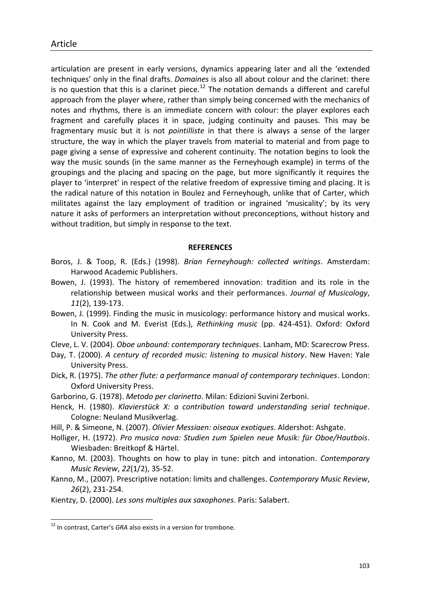articulation are present in early versions, dynamics appearing later and all the 'extended techniques' only in the final drafts. *Domaines* is also all about colour and the clarinet: there is no question that this is a clarinet piece.<sup>12</sup> The notation demands a different and careful approach from the player where, rather than simply being concerned with the mechanics of notes and rhythms, there is an immediate concern with colour: the player explores each fragment and carefully places it in space, judging continuity and pauses. This may be fragmentary music but it is not *pointilliste* in that there is always a sense of the larger structure, the way in which the player travels from material to material and from page to page giving a sense of expressive and coherent continuity. The notation begins to look the way the music sounds (in the same manner as the Ferneyhough example) in terms of the groupings and the placing and spacing on the page, but more significantly it requires the player to 'interpret' in respect of the relative freedom of expressive timing and placing. It is the radical nature of this notation in Boulez and Ferneyhough, unlike that of Carter, which militates against the lazy employment of tradition or ingrained 'musicality'; by its very nature it asks of performers an interpretation without preconceptions, without history and without tradition, but simply in response to the text.

#### **REFERENCES**

- Boros, J. & Toop, R. (Eds.) (1998). *Brian Ferneyhough: collected writings*. Amsterdam: Harwood Academic Publishers.
- Bowen, J. (1993). The history of remembered innovation: tradition and its role in the relationship between musical works and their performances. *Journal of Musicology*, *11*(2), 139-173.
- Bowen, J. (1999). Finding the music in musicology: performance history and musical works. In N. Cook and M. Everist (Eds.), *Rethinking music* (pp. 424-451). Oxford: Oxford University Press.
- Cleve, L. V. (2004). *Oboe unbound: contemporary techniques*. Lanham, MD: Scarecrow Press.
- Day, T. (2000). *A century of recorded music: listening to musical history*. New Haven: Yale University Press.
- Dick, R. (1975). *The other flute: a performance manual of contemporary techniques*. London: Oxford University Press.
- Garborino, G. (1978). *Metodo per clarinetto*. Milan: Edizioni Suvini Zerboni.
- Henck, H. (1980). *Klavierstück X: a contribution toward understanding serial technique*. Cologne: Neuland Musikverlag.
- Hill, P. & Simeone, N. (2007). *Olivier Messiaen: oiseaux exotiques*. Aldershot: Ashgate.
- Holliger, H. (1972). *Pro musica nova: Studien zum Spielen neue Musik: für Oboe/Hautbois*. Wiesbaden: Breitkopf & Härtel.
- Kanno, M. (2003). Thoughts on how to play in tune: pitch and intonation. *Contemporary Music Review*, *22*(1/2), 35-52.
- Kanno, M., (2007). Prescriptive notation: limits and challenges. *Contemporary Music Review*, *26*(2), 231-254.
- Kientzy, D. (2000). *Les sons multiples aux saxophones*. Paris: Salabert.

1

<sup>&</sup>lt;sup>12</sup> In contrast, Carter's GRA also exists in a version for trombone.